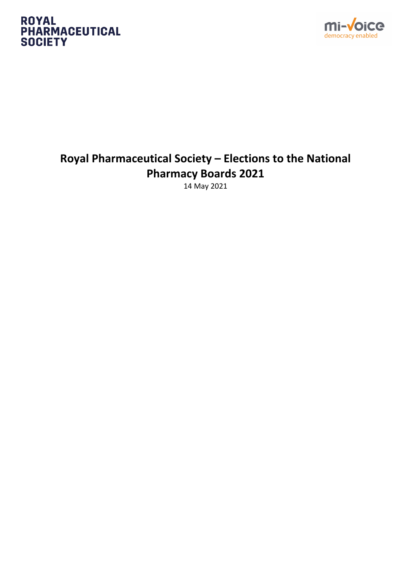#### **ROYAL PHARMACEUTICAL SOCIETY**



## **Royal Pharmaceutical Society – Elections to the National Pharmacy Boards 2021**

14 May 2021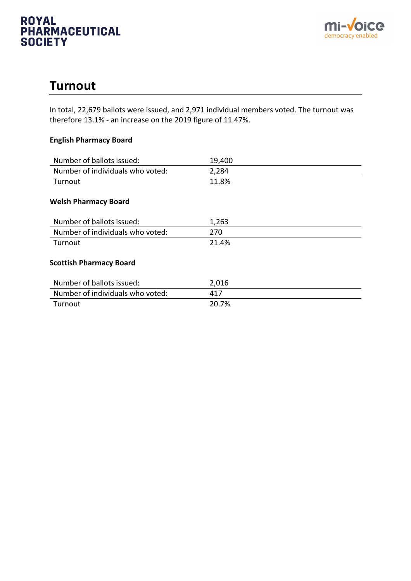#### **ROYAL PHARMACEUTICAL SOCIETY**



## **Turnout**

In total, 22,679 ballots were issued, and 2,971 individual members voted. The turnout was therefore 13.1% - an increase on the 2019 figure of 11.47%.

#### **English Pharmacy Board**

| Number of ballots issued:        | 19,400 |
|----------------------------------|--------|
| Number of individuals who voted: | 2,284  |
| Turnout                          | 11.8%  |
| <b>Welsh Pharmacy Board</b>      |        |
| Number of ballots issued:        | 1,263  |
| Number of individuals who voted: | 270    |
| Turnout                          | 21.4%  |
| <b>Scottish Pharmacy Board</b>   |        |
| Number of ballots issued:        | 2,016  |
| Number of individuals who voted: | 417    |
| Turnout                          | 20.7%  |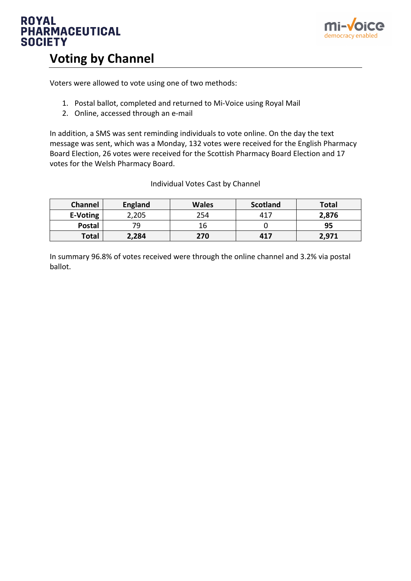



## **Voting by Channel**

Voters were allowed to vote using one of two methods:

- 1. Postal ballot, completed and returned to Mi-Voice using Royal Mail
- 2. Online, accessed through an e-mail

In addition, a SMS was sent reminding individuals to vote online. On the day the text message was sent, which was a Monday, 132 votes were received for the English Pharmacy Board Election, 26 votes were received for the Scottish Pharmacy Board Election and 17 votes for the Welsh Pharmacy Board.

#### Individual Votes Cast by Channel

| <b>Channel</b> | <b>England</b> | <b>Wales</b> | Scotland | <b>Total</b> |
|----------------|----------------|--------------|----------|--------------|
| E-Voting       | 2,205          | 254          | 417      | 2,876        |
| <b>Postal</b>  | 70             | 16           |          | 95           |
| <b>Total</b>   | 2,284          | 270          | 417      | 2,971        |

In summary 96.8% of votes received were through the online channel and 3.2% via postal ballot.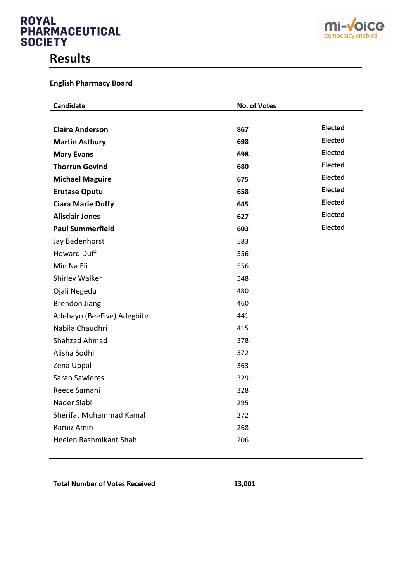# **ROYAL PHARMACEUTICAL**<br>SOCIETY

## **Results**





| Candidate                  | No. of Votes |                |
|----------------------------|--------------|----------------|
|                            |              |                |
| <b>Claire Anderson</b>     | 867          | <b>Elected</b> |
| <b>Martin Astbury</b>      | 698          | <b>Elected</b> |
| <b>Mary Evans</b>          | 698          | <b>Elected</b> |
| <b>Thorrun Govind</b>      | 680          | <b>Elected</b> |
| <b>Michael Maguire</b>     | 675          | <b>Elected</b> |
| <b>Erutase Oputu</b>       | 658          | <b>Elected</b> |
| <b>Ciara Marie Duffy</b>   | 645          | <b>Elected</b> |
| <b>Alisdair Jones</b>      | 627          | <b>Elected</b> |
| <b>Paul Summerfield</b>    | 603          | <b>Elected</b> |
| Jay Badenhorst             | 583          |                |
| <b>Howard Duff</b>         | 556          |                |
| Min Na Eii                 | 556          |                |
| Shirley Walker             | 548          |                |
| Ojali Negedu               | 480          |                |
| <b>Brendon Jiang</b>       | 460          |                |
| Adebayo (BeeFive) Adegbite | 441          |                |
| Nabila Chaudhri            | 415          |                |
| Shahzad Ahmad              | 378          |                |
| Alisha Sodhi               | 372          |                |
| Zena Uppal                 | 363          |                |
| <b>Sarah Sawieres</b>      | 329          |                |
| Reece Samani               | 328          |                |
| Nader Siabi                | 295          |                |
| Sherifat Muhammad Kamal    | 272          |                |
| Ramiz Amin                 | 268          |                |
| Heelen Rashmikant Shah     | 206          |                |
|                            |              |                |

Total Number of Votes Received **13,001**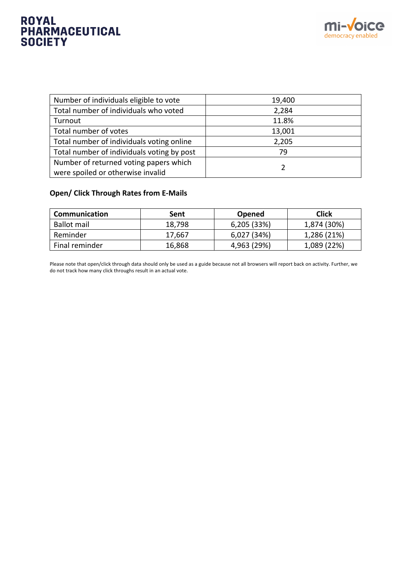# **ROYAL PHARMACEUTICAL**<br>SOCIETY



| Number of individuals eligible to vote     | 19,400 |
|--------------------------------------------|--------|
| Total number of individuals who voted      | 2,284  |
| Turnout                                    | 11.8%  |
| Total number of votes                      | 13,001 |
| Total number of individuals voting online  | 2,205  |
| Total number of individuals voting by post | 79     |
| Number of returned voting papers which     |        |
| were spoiled or otherwise invalid          |        |

#### **Open/ Click Through Rates from E-Mails**

| <b>Communication</b> | Sent   | <b>Opened</b> | <b>Click</b> |
|----------------------|--------|---------------|--------------|
| Ballot mail          | 18,798 | 6,205(33%)    | 1,874 (30%)  |
| Reminder             | 17,667 | 6,027 (34%)   | 1,286 (21%)  |
| Final reminder       | 16,868 | 4,963 (29%)   | 1,089 (22%)  |

Please note that open/click through data should only be used as a guide because not all browsers will report back on activity. Further, we do not track how many click throughs result in an actual vote.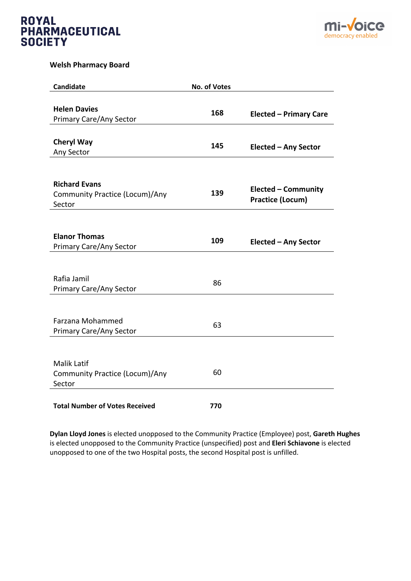



#### **Welsh Pharmacy Board**

| <b>Candidate</b>                      | <b>No. of Votes</b> |                               |
|---------------------------------------|---------------------|-------------------------------|
|                                       |                     |                               |
| <b>Helen Davies</b>                   | 168                 | <b>Elected - Primary Care</b> |
| <b>Primary Care/Any Sector</b>        |                     |                               |
|                                       |                     |                               |
| <b>Cheryl Way</b>                     |                     |                               |
| Any Sector                            | 145                 | Elected - Any Sector          |
|                                       |                     |                               |
|                                       |                     |                               |
| <b>Richard Evans</b>                  |                     |                               |
| Community Practice (Locum)/Any        | 139                 | <b>Elected - Community</b>    |
| Sector                                |                     | <b>Practice (Locum)</b>       |
|                                       |                     |                               |
|                                       |                     |                               |
| <b>Elanor Thomas</b>                  |                     |                               |
| <b>Primary Care/Any Sector</b>        | 109                 | <b>Elected - Any Sector</b>   |
|                                       |                     |                               |
|                                       |                     |                               |
| Rafia Jamil                           |                     |                               |
| <b>Primary Care/Any Sector</b>        | 86                  |                               |
|                                       |                     |                               |
|                                       |                     |                               |
| Farzana Mohammed                      |                     |                               |
| <b>Primary Care/Any Sector</b>        | 63                  |                               |
|                                       |                     |                               |
|                                       |                     |                               |
| <b>Malik Latif</b>                    |                     |                               |
| Community Practice (Locum)/Any        | 60                  |                               |
| Sector                                |                     |                               |
|                                       |                     |                               |
| <b>Total Number of Votes Received</b> | 770                 |                               |

**Dylan Lloyd Jones** is elected unopposed to the Community Practice (Employee) post, **Gareth Hughes** is elected unopposed to the Community Practice (unspecified) post and **Eleri Schiavone** is elected unopposed to one of the two Hospital posts, the second Hospital post is unfilled.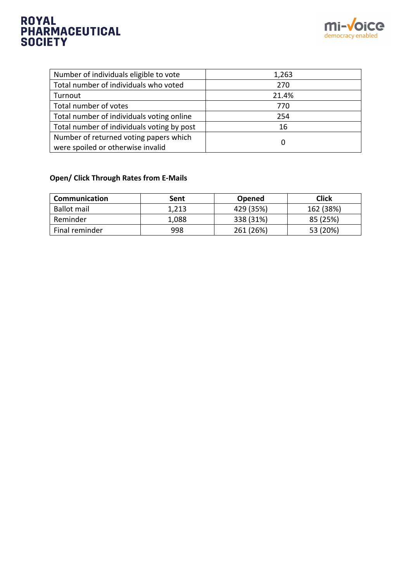# ROYAL<br>PHARMACEUTICAL<br>SOCIETY



| Number of individuals eligible to vote     | 1,263 |
|--------------------------------------------|-------|
| Total number of individuals who voted      | 270   |
| Turnout                                    | 21.4% |
| Total number of votes                      | 770   |
| Total number of individuals voting online  | 254   |
| Total number of individuals voting by post | 16    |
| Number of returned voting papers which     | 0     |
| were spoiled or otherwise invalid          |       |

#### **Open/ Click Through Rates from E-Mails**

| Communication  | Sent  | <b>Opened</b> | <b>Click</b> |
|----------------|-------|---------------|--------------|
| Ballot mail    | 1,213 | 429 (35%)     | 162 (38%)    |
| Reminder       | 1,088 | 338 (31%)     | 85 (25%)     |
| Final reminder | 998   | 261 (26%)     | 53 (20%)     |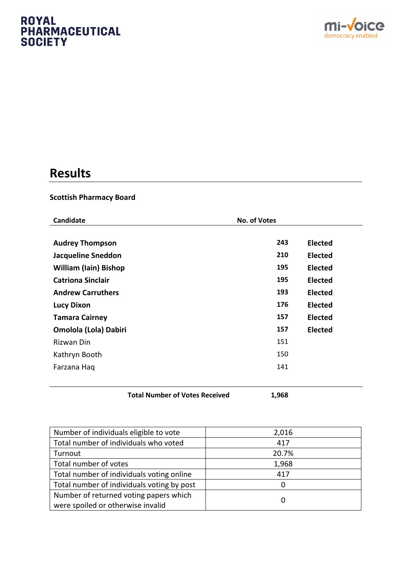# **ROYAL PHARMACEUTICAL**<br>SOCIETY



# **Results**

#### **Scottish Pharmacy Board**

| Candidate                    | <b>No. of Votes</b> |                |
|------------------------------|---------------------|----------------|
| <b>Audrey Thompson</b>       | 243                 | <b>Elected</b> |
| <b>Jacqueline Sneddon</b>    | 210                 | <b>Elected</b> |
| <b>William (Iain) Bishop</b> | 195                 | <b>Elected</b> |
| <b>Catriona Sinclair</b>     | 195                 | <b>Elected</b> |
| <b>Andrew Carruthers</b>     | 193                 | <b>Elected</b> |
| <b>Lucy Dixon</b>            | 176                 | <b>Elected</b> |
| <b>Tamara Cairney</b>        | 157                 | <b>Elected</b> |
| <b>Omolola (Lola) Dabiri</b> | 157                 | <b>Elected</b> |
| Rizwan Din                   | 151                 |                |
| Kathryn Booth                | 150                 |                |
| Farzana Haq                  | 141                 |                |
|                              |                     |                |

**Total Number of Votes Received 1,968**

| Number of individuals eligible to vote     | 2,016 |
|--------------------------------------------|-------|
| Total number of individuals who voted      | 417   |
| Turnout                                    | 20.7% |
| Total number of votes                      | 1,968 |
| Total number of individuals voting online  | 417   |
| Total number of individuals voting by post | 0     |
| Number of returned voting papers which     |       |
| were spoiled or otherwise invalid          | 0     |